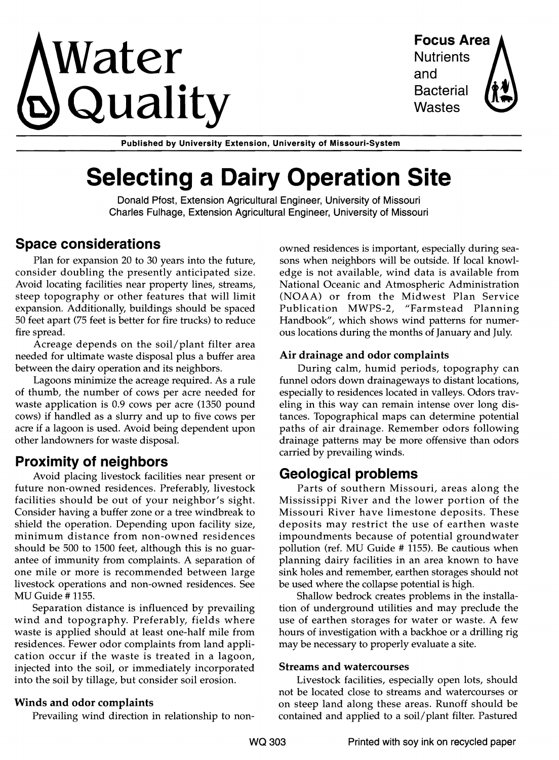# **Vater** Focus Area  $\mathbf{Q}$ uality Bacteria

and **Bacterial** 

Published by University Extension, University of Missouri-System

# **Selecting a Dairy Operation Site**

Donald Pfost, Extension Agricultural Engineer, University of Missouri Charles Fulhage, Extension Agricultural Engineer, University of Missouri

# **Space considerations**

Plan for expansion 20 to 30 years into the future, consider doubling the presently anticipated size. Avoid locating facilities near property lines, streams, steep topography or other features that will limit expansion. Additionally, buildings should be spaced 50 feet apart (75 feet is better for fire trucks) to reduce fire spread.

Acreage depends on the soil/plant filter area needed for ultimate waste disposal plus a buffer area between the dairy operation and its neighbors.

Lagoons minimize the acreage required. As a rule of thumb, the number of cows per acre needed for waste application is 0.9 cows per acre (1350 pound cows) if handled as a slurry and up to five cows per acre if a lagoon is used. Avoid being dependent upon other landowners for waste disposal.

# **Proximity of neighbors**

Avoid placing livestock facilities near present or future non-owned residences. Preferably, livestock facilities should be out of your neighbor's sight. Consider having a buffer zone or a tree windbreak to shield the operation. Depending upon facility size, minimum distance from non-owned residences should be 500 to 1500 feet, although this is no guarantee of immunity from complaints. A separation of one mile or more is recommended between large livestock operations and non-owned residences. See MU Guide # 1155.

Separation distance is influenced by prevailing wind and topography. Preferably, fields where waste is applied should at least one-half mile from residences. Fewer odor complaints from land application occur if the waste is treated in a lagoon, injected into the soil, or immediately incorporated into the soil by tillage, but consider soil erosion.

#### Winds and odor complaints

Prevailing wind direction in relationship to non-

owned residences is important, especially during seasons when neighbors will be outside. If local knowledge is not available, wind data is available from National Oceanic and Atmospheric Administration (NOAA) or from the Midwest Plan Service Publication MWPS-2, "Farmstead Planning Handbook", which shows wind patterns for numerous locations during the months of January and July.

#### Air drainage and odor complaints

During calm, humid periods, topography can funnel odors down drainageways to distant locations, especially to residences located in valleys. Odors traveling in this way can remain intense over long distances. Topographical maps can determine potential paths of air drainage. Remember odors following drainage patterns may be more offensive than odors carried by prevailing winds.

# **Geological problems**

Parts of southern Missouri, areas along the Mississippi River and the lower portion of the Missouri River have limestone deposits. These deposits may restrict the use of earthen waste impoundments because of potential groundwater pollution (ref. MU Guide # 1155). Be cautious when planning dairy facilities in an area known to have sink holes and remember, earthen storages should not be used where the collapse potential is high.

Shallow bedrock creates problems in the installation of underground utilities and may preclude the use of earthen storages for water or waste. A few hours of investigation with a backhoe or a drilling rig may be necessary to properly evaluate a site.

#### Streams and watercourses

Livestock facilities, especially open lots, should not be located close to streams and watercourses or on steep land along these areas. Runoff should be contained and applied to a soil/plant filter. Pastured